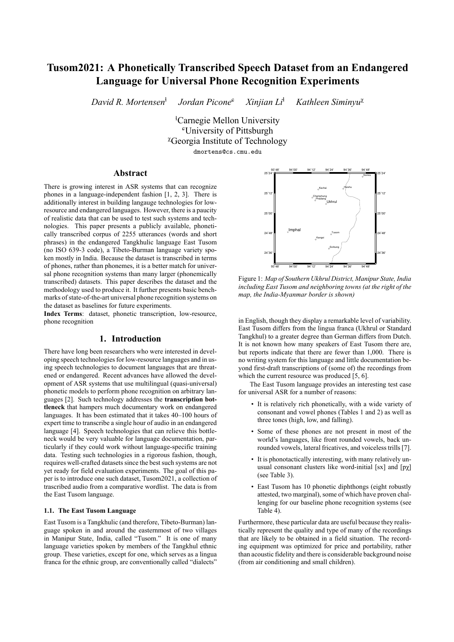# **Tusom2021: A Phonetically Transcribed Speech Dataset from an Endangered Language for Universal Phone Recognition Experiments**

*David R. Mortensen*<sup>ɬ</sup> *Jordan Picone*<sup>ɕ</sup> *Xinjian Li*<sup>ɬ</sup> *Kathleen Siminyu*<sup>χ</sup>

> <sup>*k*</sup>Carnegie Mellon University <sup>ɕ</sup>University of Pittsburgh <sup>χ</sup>Georgia Institute of Technology dmortens@cs.cmu.edu

## **Abstract**

There is growing interest in ASR systems that can recognize phones in a language-independent fashion [1, 2, 3]. There is additionally interest in building langauge technologies for lowresource and endangered languages. However, there is a paucity of realistic data that can be used to test such systems and technologies. This paper presents a publicly available, phonetically transcribed corpus of 2255 utterances (words and short phrases) in the endangered Tangkhulic language East Tusom (no ISO 639-3 code), a Tibeto-Burman language variety spoken mostly in India. Because the dataset is transcribed in terms of phones, rather than phonemes, it is a better match for universal phone recognition systems than many larger (phonemically transcribed) datasets. This paper describes the dataset and the methodology used to produce it. It further presents basic benchmarks of state-of-the-art universal phone recognition systems on the dataset as baselines for future experiments.

**Index Terms**: dataset, phonetic transcription, low-resource, phone recognition

# **1. Introduction**

There have long been researchers who were interested in developing speech technologies for low-resource languages and in using speech technologies to document languages that are threatened or endangered. Recent advances have allowed the development of ASR systems that use multilingual (quasi-universal) phonetic models to perform phone recognition on arbitrary languages [2]. Such technology addresses the **transcription bottleneck** that hampers much documentary work on endangered languages. It has been estimated that it takes 40–100 hours of expert time to transcribe a single hour of audio in an endangered language [4]. Speech technologies that can relieve this bottleneck would be very valuable for language documentation, particularly if they could work without language-specific training data. Testing such technologies in a rigorous fashion, though, requires well-crafted datasets since the best such systems are not yet ready for field evaluation experiments. The goal of this paper is to introduce one such dataset, Tusom2021, a collection of trascribed audio from a comparative wordlist. The data is from the East Tusom language.

#### **1.1. The East Tusom Language**

East Tusom is a Tangkhulic (and therefore, Tibeto-Burman) language spoken in and around the easternmost of two villages in Manipur State, India, called "Tusom." It is one of many language varieties spoken by members of the Tangkhul ethnic group. These varieties, except for one, which serves as a lingua franca for the ethnic group, are conventionally called "dialects"



Figure 1: *Map of Southern Ukhrul District, Manipur State, India including East Tusom and neighboring towns (at the right of the map, the India-Myanmar border is shown)*

in English, though they display a remarkable level of variability. East Tusom differs from the lingua franca (Ukhrul or Standard Tangkhul) to a greater degree than German differs from Dutch. It is not known how many speakers of East Tusom there are, but reports indicate that there are fewer than 1,000. There is no writing system for this language and little documentation beyond first-draft transcriptions of (some of) the recordings from which the current resource was produced [5, 6].

The East Tusom language provides an interesting test case for universal ASR for a number of reasons:

- It is relatively rich phonetically, with a wide variety of consonant and vowel phones (Tables 1 and 2) as well as three tones (high, low, and falling).
- Some of these phones are not present in most of the world's languages, like front rounded vowels, back unrounded vowels, lateral fricatives, and voiceless trills [7].
- It is phonotactically interesting, with many relatively unusual consonant clusters like word-initial [sx] and [pχ] (see Table 3).
- East Tusom has 10 phonetic diphthongs (eight robustly attested, two marginal), some of which have proven challenging for our baseline phone recognition systems (see Table 4).

Furthermore, these particular data are useful because they realistically represent the quality and type of many of the recordings that are likely to be obtained in a field situation. The recording equipment was optimized for price and portability, rather than acoustic fidelity and there is considerable background noise (from air conditioning and small children).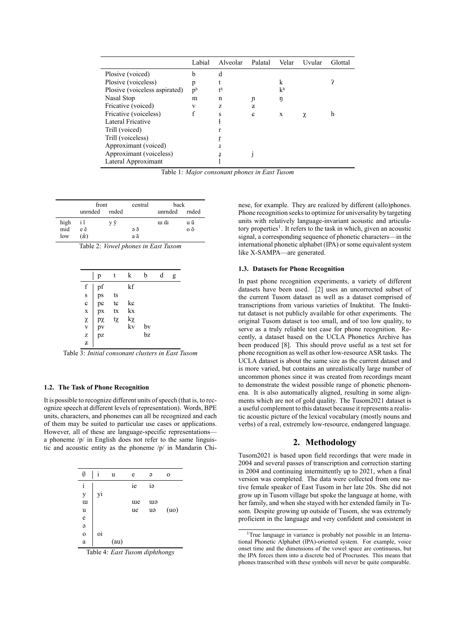|                               | Labial         | Alveolar       | Palatal | Velar          | Uvular | Glottal |
|-------------------------------|----------------|----------------|---------|----------------|--------|---------|
| Plosive (voiced)              | b              | d              |         |                |        |         |
| Plosive (voiceless)           | p              |                |         | k              |        |         |
| Plosive (voiceless aspirated) | p <sub>h</sub> | t <sub>h</sub> |         | k <sub>h</sub> |        |         |
| Nasal Stop                    | m              | n              | J)      | ŋ              |        |         |
| Fricative (voiced)            | V              | Z              | z       |                |        |         |
| Fricative (voiceless)         |                | S              | c       | X              | χ      | h       |
| Lateral Fricative             |                |                |         |                |        |         |
| Trill (voiced)                |                |                |         |                |        |         |
| Trill (voiceless)             |                |                |         |                |        |         |
| Approximant (voiced)          |                | 1              |         |                |        |         |
| Approximant (voiceless)       |                | Ť              |         |                |        |         |
| Lateral Approximant           |                |                |         |                |        |         |

Table 1: *Major consonant phones in East Tusom*

|      | front                  |    | central | back          |              |  |
|------|------------------------|----|---------|---------------|--------------|--|
|      | unrnded rnded          |    |         | unrnded rnded |              |  |
| high | iĩ                     | VŨ |         | шũ            | u ũ          |  |
| mid  | e ẽ                    |    | эõ      |               | $0\tilde{0}$ |  |
| low  | $(\tilde{\mathbf{x}})$ |    | a ã     |               |              |  |

Table 2: *Vowel phones in East Tusom*

|             | p                    |    | k        | b        | d | g |
|-------------|----------------------|----|----------|----------|---|---|
| f           |                      |    | kf       |          |   |   |
| s           |                      | ts |          |          |   |   |
|             |                      | tc | kc       |          |   |   |
|             | pf<br>ps<br>pc<br>px | tx | kx       |          |   |   |
| c x x v z z |                      | tχ | kχ<br>kv |          |   |   |
|             | px<br>pv<br>pz       |    |          | bv<br>bz |   |   |
|             |                      |    |          |          |   |   |
|             |                      |    |          |          |   |   |

Table 3: *Initial consonant clusters in East Tusom*

### **1.2. The Task of Phone Recognition**

It is possible to recognize different units of speech (that is, to recognize speech at different levels of representation). Words, BPE units, characters, and phonemes can all be recognized and each of them may be suited to particular use cases or applications. However, all of these are language-specific representations a phoneme /p/ in English does not refer to the same linguistic and acoustic entity as the phoneme /p/ in Mandarin Chi-

| Ø            | i  | u    | e   | $\Theta$ | $\mathbf 0$ |
|--------------|----|------|-----|----------|-------------|
| $\rm i$      |    |      | ie  | iə       |             |
| y            | y1 |      |     |          |             |
| <b>u</b>     |    |      | ure | ew       |             |
| u            |    |      | ue  | uə       | (uo)        |
| e            |    |      |     |          |             |
| $\Theta$     |    |      |     |          |             |
| $\mathbf{o}$ | oi |      |     |          |             |
| a            |    | (au) |     |          |             |

Table 4: *East Tusom diphthongs*

nese, for example. They are realized by different (allo)phones. Phone recognition seeks to optimize for universality by targeting units with relatively language-invariant acoustic and articulatory properties<sup>1</sup>. It refers to the task in which, given an acoustic signal, a corresponding sequence of phonetic characters—in the international phonetic alphabet (IPA) or some equivalent system like X-SAMPA—are generated.

#### **1.3. Datasets for Phone Recognition**

In past phone recognition experiments, a variety of different datasets have been used. [2] uses an uncorrected subset of the current Tusom dataset as well as a dataset comprised of transcriptions from various varieties of Inuktitut. The Inuktitut dataset is not publicly available for other experiments. The original Tusom dataset is too small, and of too low quality, to serve as a truly reliable test case for phone recognition. Recently, a dataset based on the UCLA Phonetics Archive has been produced [8]. This should prove useful as a test set for phone recognition as well as other low-resource ASR tasks. The UCLA dataset is about the same size as the current dataset and is more varied, but contains an unrealistically large number of uncommon phones since it was created from recordings meant to demonstrate the widest possible range of phonetic phenomena. It is also automatically aligned, resulting in some alignments which are not of gold quality. The Tusom2021 dataset is a useful complement to this dataset because it represents a realistic acoustic picture of the lexical vocabulary (mostly nouns and verbs) of a real, extremely low-resource, endangered language.

### **2. Methodology**

Tusom2021 is based upon field recordings that were made in 2004 and several passes of transcription and correction starting in 2004 and continuing intermittently up to 2021, when a final version was completed. The data were collected from one native female speaker of East Tusom in her late 20s. She did not grow up in Tusom village but spoke the language at home, with her family, and when she stayed with her extended family in Tusom. Despite growing up outside of Tusom, she was extremely proficient in the language and very confident and consistent in

<sup>&</sup>lt;sup>1</sup>True language in variance is probably not possible in an International Phonetic Alphabet (IPA)-oriented system. For example, voice onset time and the dimensions of the vowel space are continuous, but the IPA forces them into a discrete bed of Procrustes. This means that phones transcribed with these symbols will never be quite comparable.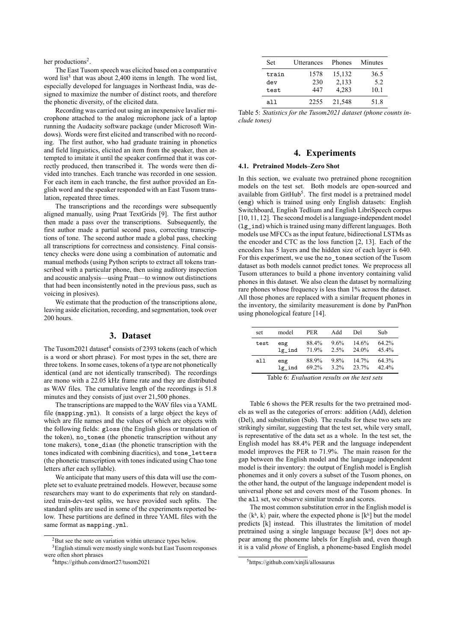her productions<sup>2</sup>.

The East Tusom speech was elicited based on a comparative word list<sup>3</sup> that was about 2,400 items in length. The word list, especially developed for languages in Northeast India, was designed to maximize the number of distinct roots, and therefore the phonetic diversity, of the elicited data.

Recording was carried out using an inexpensive lavalier microphone attached to the analog microphone jack of a laptop running the Audacity software package (under Microsoft Windows). Words were first elicited and transcribed with no recording. The first author, who had graduate training in phonetics and field linguistics, elicited an item from the speaker, then attempted to imitate it until the speaker confirmed that it was correctly produced, then transcribed it. The words were then divided into tranches. Each tranche was recorded in one session. For each item in each tranche, the first author provided an English word and the speaker responded with an East Tusom translation, repeated three times.

The transcriptions and the recordings were subsequently aligned manually, using Praat TextGrids [9]. The first author then made a pass over the transcriptions. Subsequently, the first author made a partial second pass, correcting transcriptions of tone. The second author made a global pass, checking all transcriptions for correctness and consistency. Final consistency checks were done using a combination of automatic and manual methods (using Python scripts to extract all tokens transcribed with a particular phone, then using auditory inspection and acoustic analysis—using Praat—to winnow out distinctions that had been inconsistently noted in the previous pass, such as voicing in plosives).

We estimate that the production of the transcriptions alone. leaving aside elicitation, recording, and segmentation, took over 200 hours.

## **3. Dataset**

The Tusom2021 dataset<sup>4</sup> consists of 2393 tokens (each of which is a word or short phrase). For most types in the set, there are three tokens. In some cases, tokens of a type are not phonetically identical (and are not identically transcribed). The recordings are mono with a 22.05 kHz frame rate and they are distributed as WAV files. The cumulative length of the recordings is 51.8 minutes and they consists of just over 21,500 phones.

The transcriptions are mapped to the WAV files via a YAML file (mapping.yml). It consists of a large object the keys of which are file names and the values of which are objects with the following fields: gloss (the English gloss or translation of the token), no\_tones (the phonetic transcription without any tone makers), tone\_dias (the phonetic transcription with the tones indicated with combining diacritics), and tone\_letters (the phonetic transcription with tones indicated using Chao tone letters after each syllable).

We anticipate that many users of this data will use the complete set to evaluate pretrained models. However, because some researchers may want to do experiments that rely on standardized train-dev-test splits, we have provided such splits. The standard splits are used in some of the experiments reported below. These partitions are defined in three YAML files with the same format as mapping.yml.

| <b>Set</b> | Utterances | Phones | Minutes |
|------------|------------|--------|---------|
| train      | 1578       | 15,132 | 36.5    |
| dev        | 230        | 2,133  | 5.2     |
| test       | 447        | 4.283  | 10.1    |
| all        | 2255       | 21,548 | 51.8    |

Table 5: *Statistics for the Tusom2021 dataset (phone counts include tones)*

## **4. Experiments**

#### **4.1. Pretrained Models–Zero Shot**

In this section, we evaluate two pretrained phone recognition models on the test set. Both models are open-sourced and available from GitHub<sup>5</sup>. The first model is a pretrained model (eng) which is trained using only English datasets: English Switchboard, English Tedlium and English LibriSpeech corpus [10, 11, 12]. The second model is a language-independent model (lg\_ind) which is trained using many different languages. Both models use MFCCs as the input feature, bidirectional LSTMs as the encoder and CTC as the loss function [2, 13]. Each of the encoders has 5 layers and the hidden size of each layer is 640. For this experiment, we use the no\_tones section of the Tusom dataset as both models cannot predict tones. We preprocess all Tusom utterances to build a phone inventory containing valid phones in this dataset. We also clean the dataset by normalizing rare phones whose frequency is less than 1% across the dataset. All those phones are replaced with a similar frequent phones in the inventory, the similarity measurement is done by PanPhon using phonological feature [14].

| set  | model  | PER.  | Add     | Del      | Sub      |
|------|--------|-------|---------|----------|----------|
| test | eng    | 88.4% | 9.6%    | $14.6\%$ | $64.2\%$ |
|      | lg ind | 71.9% | 2.5%    | 24.0%    | 45.4%    |
| all  | eng    | 88.9% | 9.8%    | $14.7\%$ | 64.3%    |
|      | lg ind | 69.2% | $3.2\%$ | 23.7%    | 42.4%    |

Table 6: *Evaluation results on the test sets*

Table 6 shows the PER results for the two pretrained models as well as the categories of errors: addition (Add), deletion (Del), and substitution (Sub). The results for these two sets are strikingly similar, suggesting that the test set, while very small, is representative of the data set as a whole. In the test set, the English model has 88.4% PER and the language independent model improves the PER to 71.9%. The main reason for the gap between the English model and the language independent model is their inventory: the output of English model is English phonemes and it only covers a subset of the Tusom phones, on the other hand, the output of the language independent model is universal phone set and covers most of the Tusom phones. In the all set, we observe similiar trends and scores.

The most common substitution error in the English model is the  $\langle k^h, k \rangle$  pair, where the expected phone is  $[k^h]$  but the model predicts [k] instead. This illustrates the limitation of model pretrained using a single language because [kʰ] does not appear among the phoneme labels for English and, even though it is a valid *phone* of English, a phoneme-based English model

<sup>&</sup>lt;sup>2</sup>But see the note on variation within utterance types below.

<sup>&</sup>lt;sup>3</sup> English stimuli were mostly single words but East Tusom responses were often short phrases

<sup>4</sup>https://github.com/dmort27/tusom2021

<sup>5</sup>https://github.com/xinjli/allosaurus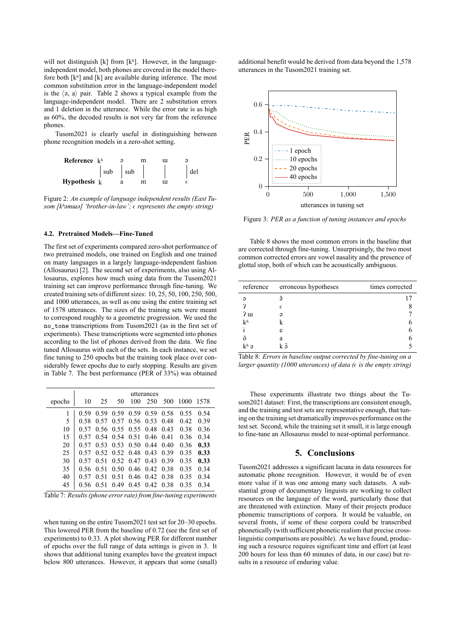will not distinguish  $[k]$  from  $[k^h]$ . However, in the languageindependent model, both phones are covered in the model therefore both [kʰ] and [k] are available during inference. The most common substitution error in the language-independent model is the  $\langle 9, 4 \rangle$  pair. Table 2 shows a typical example from the language-independent model. There are 2 substitution errors and 1 deletion in the utterance. While the error rate is as high as 60%, the decoded results is not very far from the reference phones.

Tusom2021 is clearly useful in distinguishing between phone recognition models in a zero-shot setting.



Figure 2: *An example of language independent results (East Tusom [kʰəmɯə] 'brother-in-law'; represents the empty string)*

#### **4.2. Pretrained Models—Fine-Tuned**

The first set of experiments compared zero-shot performance of two pretrained models, one trained on English and one trained on many languages in a largely language-independent fashion (Allosaurus) [2]. The second set of experiments, also using Allosaurus, explores how much using data from the Tusom2021 training set can improve performance through fine-tuning. We created training sets of different sizes: 10, 25, 50, 100, 250, 500, and 1000 utterances, as well as one using the entire training set of 1578 utterances. The sizes of the training sets were meant to correspond roughly to a geometric progression. We used the no tone transcriptions from Tusom2021 (as in the first set of experiments). These transcriptions were segmented into phones according to the list of phones derived from the data. We fine tuned Allosaurus with each of the sets. In each instance, we set fine tuning to 250 epochs but the training took place over considerably fewer epochs due to early stopping. Results are given in Table 7. The best performance (PER of 33%) was obtained

|        | utterances |      |      |           |                   |      |      |      |
|--------|------------|------|------|-----------|-------------------|------|------|------|
| epochs | 10         | 25   | 50   | 100       | 250               | 500  | 1000 | 1578 |
|        | 0.59       | 0.59 | 0.59 | 0.59      | 0.59              | 0.58 | 0.55 | 0.54 |
| 5      | 0.58       | 0.57 | 0.57 | 0.56 0.53 |                   | 0.48 | 0.42 | 0.39 |
| 10     | 0.57       | 0.56 | 0.55 | 0.55 0.48 |                   | 0.43 | 0.38 | 0.36 |
| 15     | 0.57       | 0.54 | 0.54 | 0.51      | $0.46 \quad 0.41$ |      | 0.36 | 0.34 |
| 20     | 0.57       | 0.53 | 0.53 | 0.50      | 0.44              | 0.40 | 0.36 | 0.33 |
| 25     | 0.57       | 0.52 |      | 0.52 0.48 | 0.43              | 0.39 | 0.35 | 0.33 |
| 30     | 0.57       | 0.51 | 0.52 | 0.47      | 0.43              | 0.39 | 0.35 | 0.33 |
| 35     | 0.56       | 0.51 | 0.50 | 0.46      | 0.42              | 0.38 | 0.35 | 0.34 |
| 40     | 0.57       | 0.51 | 0.51 | 0.46      | 0.42              | 0.38 | 0.35 | 0.34 |
| 45     | 0.56       | 0.51 | 0.49 | 0.45      | 0.42              | 0.38 | 0.35 | 0.34 |

Table 7: *Results (phone error rate) from fine-tuning experiments*

when tuning on the entire Tusom2021 test set for 20–30 epochs. This lowered PER from the baseline of 0.72 (see the first set of experiments) to 0.33. A plot showing PER for different number of epochs over the full range of data settings is given in 3. It shows that additional tuning examples have the greatest impact below 800 utterances. However, it appears that some (small) additional benefit would be derived from data beyond the 1,578 utterances in the Tusom2021 training set.



Figure 3: *PER as a function of tuning instances and epochs*

Table 8 shows the most common errors in the baseline that are corrected through fine-tuning. Unsurprisingly, the two most common corrected errors are vowel nasality and the presence of glottal stop, both of which can be acoustically ambiguous.

| reference        | erroneous hypotheses | times corrected |
|------------------|----------------------|-----------------|
| Э                | ã                    |                 |
|                  | $\epsilon$           |                 |
| 2 <sub>u</sub>   | э                    |                 |
| k <sub>h</sub>   |                      |                 |
|                  | e                    |                 |
| õ                | а                    |                 |
| $k^h$ $\partial$ | kã                   |                 |

Table 8: *Errors in baseline output corrected by fine-tuning on a larger quantity (1000 utterances) of data (* $\epsilon$  *is the empty string)* 

These experiments illustrate two things about the Tusom2021 dataset: First, the transcriptions are consistent enough, and the training and test sets are representative enough, that tuning on the training set dramatically improves performance on the test set. Second, while the training set it small, it is large enough to fine-tune an Allosaurus model to near-optimal performance.

## **5. Conclusions**

Tusom2021 addresses a significant lacuna in data resources for automatic phone recognition. However, it would be of even more value if it was one among many such datasets. A substantial group of documentary linguists are working to collect resources on the language of the word, particularly those that are threatened with extinction. Many of their projects produce phonemic transcriptions of corpora. It would be valuable, on several fronts, if some of these corpora could be transcribed phonetically (with sufficient phonetic realism that precise crosslinguistic comparisons are possible). As we have found, producing such a resource requires significant time and effort (at least 200 hours for less than 60 minutes of data, in our case) but results in a resource of enduring value.